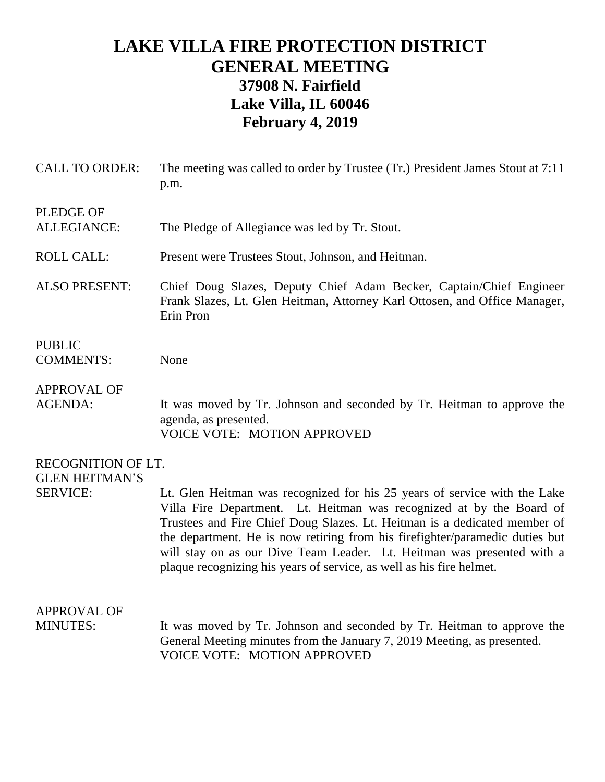## **LAKE VILLA FIRE PROTECTION DISTRICT GENERAL MEETING 37908 N. Fairfield Lake Villa, IL 60046 February 4, 2019**

| <b>CALL TO ORDER:</b>                       | The meeting was called to order by Trustee (Tr.) President James Stout at 7:11<br>p.m.                                                                                                                                                                                                                                                                                                                                                                           |
|---------------------------------------------|------------------------------------------------------------------------------------------------------------------------------------------------------------------------------------------------------------------------------------------------------------------------------------------------------------------------------------------------------------------------------------------------------------------------------------------------------------------|
| PLEDGE OF<br><b>ALLEGIANCE:</b>             | The Pledge of Allegiance was led by Tr. Stout.                                                                                                                                                                                                                                                                                                                                                                                                                   |
| <b>ROLL CALL:</b>                           | Present were Trustees Stout, Johnson, and Heitman.                                                                                                                                                                                                                                                                                                                                                                                                               |
| <b>ALSO PRESENT:</b>                        | Chief Doug Slazes, Deputy Chief Adam Becker, Captain/Chief Engineer<br>Frank Slazes, Lt. Glen Heitman, Attorney Karl Ottosen, and Office Manager,<br>Erin Pron                                                                                                                                                                                                                                                                                                   |
| <b>PUBLIC</b><br><b>COMMENTS:</b>           | None                                                                                                                                                                                                                                                                                                                                                                                                                                                             |
| <b>APPROVAL OF</b><br><b>AGENDA:</b>        | It was moved by Tr. Johnson and seconded by Tr. Heitman to approve the<br>agenda, as presented.<br><b>VOICE VOTE: MOTION APPROVED</b>                                                                                                                                                                                                                                                                                                                            |
| RECOGNITION OF LT.<br><b>GLEN HEITMAN'S</b> |                                                                                                                                                                                                                                                                                                                                                                                                                                                                  |
| <b>SERVICE:</b>                             | Lt. Glen Heitman was recognized for his 25 years of service with the Lake<br>Villa Fire Department. Lt. Heitman was recognized at by the Board of<br>Trustees and Fire Chief Doug Slazes. Lt. Heitman is a dedicated member of<br>the department. He is now retiring from his firefighter/paramedic duties but<br>will stay on as our Dive Team Leader. Lt. Heitman was presented with a<br>plaque recognizing his years of service, as well as his fire helmet. |
| <b>APPROVAL OF</b>                          |                                                                                                                                                                                                                                                                                                                                                                                                                                                                  |
| <b>MINUTES:</b>                             | It was moved by Tr. Johnson and seconded by Tr. Heitman to approve the<br>General Meeting minutes from the January 7, 2019 Meeting, as presented.<br><b>VOICE VOTE: MOTION APPROVED</b>                                                                                                                                                                                                                                                                          |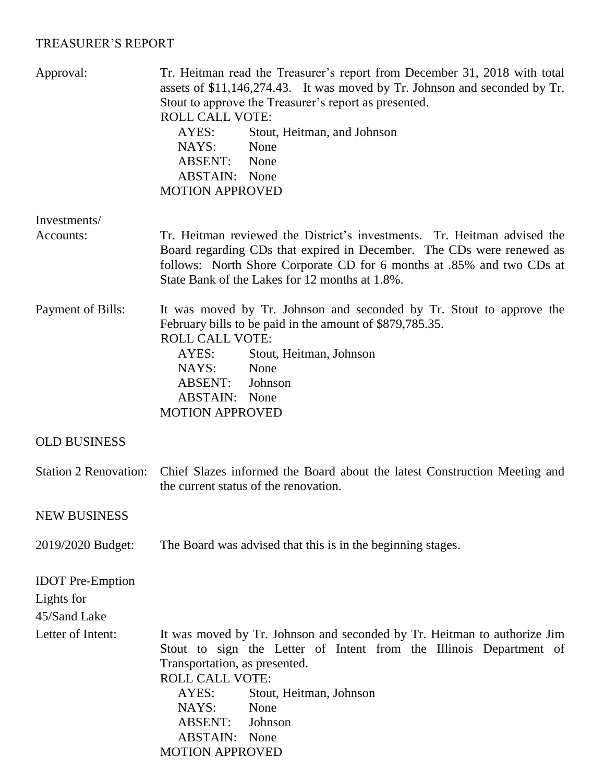## TREASURER'S REPORT

| Approval:                                             | Tr. Heitman read the Treasurer's report from December 31, 2018 with total<br>assets of \$11,146,274.43. It was moved by Tr. Johnson and seconded by Tr.<br>Stout to approve the Treasurer's report as presented.<br><b>ROLL CALL VOTE:</b><br>AYES:<br>Stout, Heitman, and Johnson<br>NAYS:<br>None<br>ABSENT:<br>None<br><b>ABSTAIN:</b> None<br><b>MOTION APPROVED</b> |
|-------------------------------------------------------|--------------------------------------------------------------------------------------------------------------------------------------------------------------------------------------------------------------------------------------------------------------------------------------------------------------------------------------------------------------------------|
| Investments/                                          |                                                                                                                                                                                                                                                                                                                                                                          |
| Accounts:                                             | Tr. Heitman reviewed the District's investments. Tr. Heitman advised the<br>Board regarding CDs that expired in December. The CDs were renewed as<br>follows: North Shore Corporate CD for 6 months at .85% and two CDs at<br>State Bank of the Lakes for 12 months at 1.8%.                                                                                             |
| Payment of Bills:                                     | It was moved by Tr. Johnson and seconded by Tr. Stout to approve the<br>February bills to be paid in the amount of \$879,785.35.<br><b>ROLL CALL VOTE:</b><br>AYES:<br>Stout, Heitman, Johnson<br>NAYS:<br>None<br><b>ABSENT:</b><br>Johnson<br><b>ABSTAIN:</b> None<br><b>MOTION APPROVED</b>                                                                           |
| <b>OLD BUSINESS</b>                                   |                                                                                                                                                                                                                                                                                                                                                                          |
| <b>Station 2 Renovation:</b>                          | Chief Slazes informed the Board about the latest Construction Meeting and<br>the current status of the renovation.                                                                                                                                                                                                                                                       |
| <b>NEW BUSINESS</b>                                   |                                                                                                                                                                                                                                                                                                                                                                          |
| 2019/2020 Budget:                                     | The Board was advised that this is in the beginning stages.                                                                                                                                                                                                                                                                                                              |
| <b>IDOT</b> Pre-Emption<br>Lights for<br>45/Sand Lake |                                                                                                                                                                                                                                                                                                                                                                          |
| Letter of Intent:                                     | It was moved by Tr. Johnson and seconded by Tr. Heitman to authorize Jim<br>Stout to sign the Letter of Intent from the Illinois Department of<br>Transportation, as presented.<br><b>ROLL CALL VOTE:</b><br>AYES:<br>Stout, Heitman, Johnson<br>NAYS:<br>None<br><b>ABSENT:</b><br>Johnson<br><b>ABSTAIN:</b> None<br><b>MOTION APPROVED</b>                            |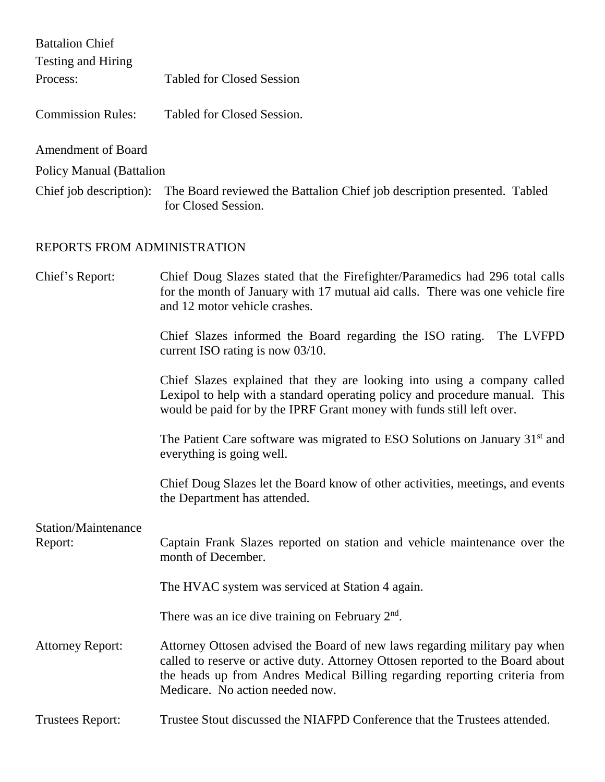| <b>Battalion Chief</b>          |                                                                                                                                                                                                                                                                               |
|---------------------------------|-------------------------------------------------------------------------------------------------------------------------------------------------------------------------------------------------------------------------------------------------------------------------------|
| Testing and Hiring              |                                                                                                                                                                                                                                                                               |
| Process:                        | <b>Tabled for Closed Session</b>                                                                                                                                                                                                                                              |
| <b>Commission Rules:</b>        | Tabled for Closed Session.                                                                                                                                                                                                                                                    |
| <b>Amendment of Board</b>       |                                                                                                                                                                                                                                                                               |
| <b>Policy Manual (Battalion</b> |                                                                                                                                                                                                                                                                               |
| Chief job description):         | The Board reviewed the Battalion Chief job description presented. Tabled<br>for Closed Session.                                                                                                                                                                               |
| REPORTS FROM ADMINISTRATION     |                                                                                                                                                                                                                                                                               |
| Chief's Report:                 | Chief Doug Slazes stated that the Firefighter/Paramedics had 296 total calls<br>for the month of January with 17 mutual aid calls. There was one vehicle fire<br>and 12 motor vehicle crashes.                                                                                |
|                                 | Chief Slazes informed the Board regarding the ISO rating. The LVFPD<br>current ISO rating is now 03/10.                                                                                                                                                                       |
|                                 | Chief Slazes explained that they are looking into using a company called<br>Lexipol to help with a standard operating policy and procedure manual. This<br>would be paid for by the IPRF Grant money with funds still left over.                                              |
|                                 | The Patient Care software was migrated to ESO Solutions on January 31 <sup>st</sup> and<br>everything is going well.                                                                                                                                                          |
|                                 | Chief Doug Slazes let the Board know of other activities, meetings, and events<br>the Department has attended.                                                                                                                                                                |
| <b>Station/Maintenance</b>      |                                                                                                                                                                                                                                                                               |
| Report:                         | Captain Frank Slazes reported on station and vehicle maintenance over the<br>month of December.                                                                                                                                                                               |
|                                 | The HVAC system was serviced at Station 4 again.                                                                                                                                                                                                                              |
|                                 | There was an ice dive training on February $2nd$ .                                                                                                                                                                                                                            |
| <b>Attorney Report:</b>         | Attorney Ottosen advised the Board of new laws regarding military pay when<br>called to reserve or active duty. Attorney Ottosen reported to the Board about<br>the heads up from Andres Medical Billing regarding reporting criteria from<br>Medicare. No action needed now. |
| <b>Trustees Report:</b>         | Trustee Stout discussed the NIAFPD Conference that the Trustees attended.                                                                                                                                                                                                     |